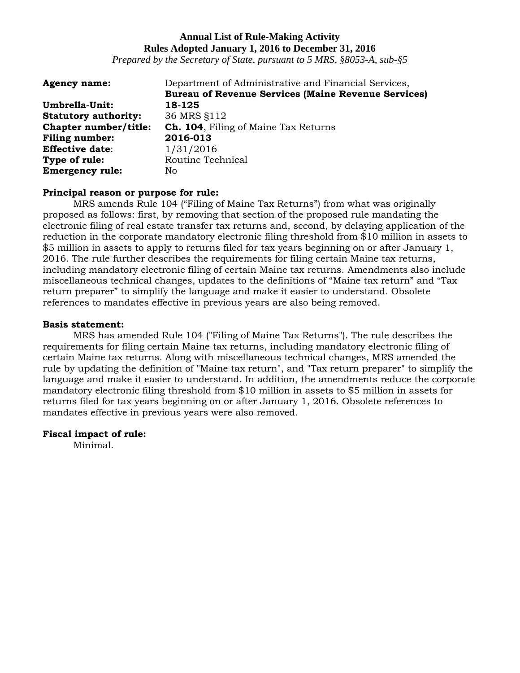*Prepared by the Secretary of State, pursuant to 5 MRS, §8053-A, sub-§5*

| <b>Agency name:</b>         | Department of Administrative and Financial Services,       |
|-----------------------------|------------------------------------------------------------|
|                             | <b>Bureau of Revenue Services (Maine Revenue Services)</b> |
| Umbrella-Unit:              | 18-125                                                     |
| <b>Statutory authority:</b> | 36 MRS \$112                                               |
| Chapter number/title:       | <b>Ch. 104.</b> Filing of Maine Tax Returns                |
| <b>Filing number:</b>       | 2016-013                                                   |
| <b>Effective date:</b>      | 1/31/2016                                                  |
| Type of rule:               | Routine Technical                                          |
| <b>Emergency rule:</b>      | No                                                         |

#### **Principal reason or purpose for rule:**

MRS amends Rule 104 ("Filing of Maine Tax Returns") from what was originally proposed as follows: first, by removing that section of the proposed rule mandating the electronic filing of real estate transfer tax returns and, second, by delaying application of the reduction in the corporate mandatory electronic filing threshold from \$10 million in assets to \$5 million in assets to apply to returns filed for tax years beginning on or after January 1, 2016. The rule further describes the requirements for filing certain Maine tax returns, including mandatory electronic filing of certain Maine tax returns. Amendments also include miscellaneous technical changes, updates to the definitions of "Maine tax return" and "Tax return preparer" to simplify the language and make it easier to understand. Obsolete references to mandates effective in previous years are also being removed.

#### **Basis statement:**

MRS has amended Rule 104 ("Filing of Maine Tax Returns"). The rule describes the requirements for filing certain Maine tax returns, including mandatory electronic filing of certain Maine tax returns. Along with miscellaneous technical changes, MRS amended the rule by updating the definition of "Maine tax return", and "Tax return preparer" to simplify the language and make it easier to understand. In addition, the amendments reduce the corporate mandatory electronic filing threshold from \$10 million in assets to \$5 million in assets for returns filed for tax years beginning on or after January 1, 2016. Obsolete references to mandates effective in previous years were also removed.

#### **Fiscal impact of rule:**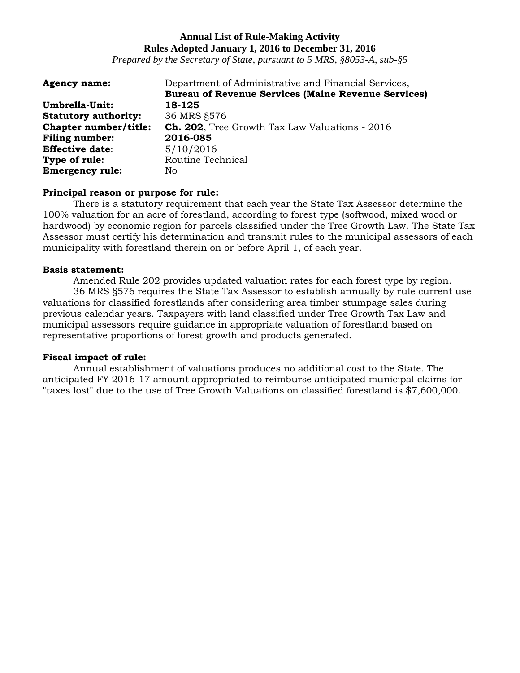*Prepared by the Secretary of State, pursuant to 5 MRS, §8053-A, sub-§5*

| <b>Agency name:</b>         | Department of Administrative and Financial Services,       |
|-----------------------------|------------------------------------------------------------|
|                             | <b>Bureau of Revenue Services (Maine Revenue Services)</b> |
| Umbrella-Unit:              | 18-125                                                     |
| <b>Statutory authority:</b> | 36 MRS §576                                                |
| Chapter number/title:       | <b>Ch. 202</b> , Tree Growth Tax Law Valuations - 2016     |
| <b>Filing number:</b>       | 2016-085                                                   |
| <b>Effective date:</b>      | 5/10/2016                                                  |
| Type of rule:               | Routine Technical                                          |
| <b>Emergency rule:</b>      | No.                                                        |

#### **Principal reason or purpose for rule:**

There is a statutory requirement that each year the State Tax Assessor determine the 100% valuation for an acre of forestland, according to forest type (softwood, mixed wood or hardwood) by economic region for parcels classified under the Tree Growth Law. The State Tax Assessor must certify his determination and transmit rules to the municipal assessors of each municipality with forestland therein on or before April 1, of each year.

#### **Basis statement:**

Amended Rule 202 provides updated valuation rates for each forest type by region. 36 MRS §576 requires the State Tax Assessor to establish annually by rule current use valuations for classified forestlands after considering area timber stumpage sales during previous calendar years. Taxpayers with land classified under Tree Growth Tax Law and municipal assessors require guidance in appropriate valuation of forestland based on representative proportions of forest growth and products generated.

#### **Fiscal impact of rule:**

Annual establishment of valuations produces no additional cost to the State. The anticipated FY 2016-17 amount appropriated to reimburse anticipated municipal claims for "taxes lost" due to the use of Tree Growth Valuations on classified forestland is \$7,600,000.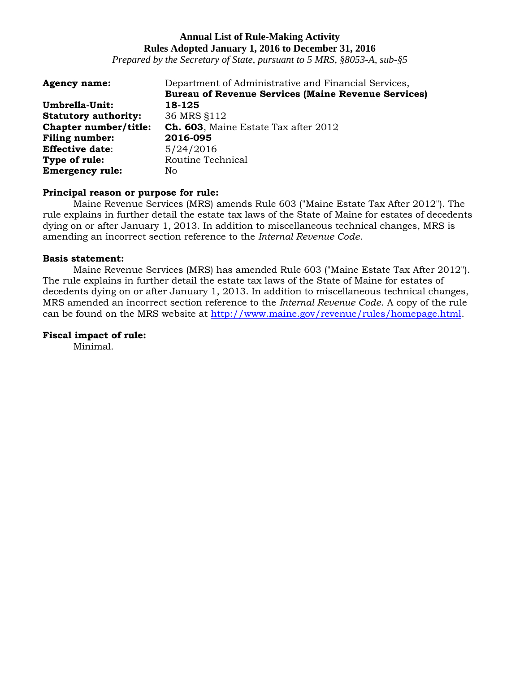*Prepared by the Secretary of State, pursuant to 5 MRS, §8053-A, sub-§5*

| <b>Agency name:</b>         | Department of Administrative and Financial Services,       |
|-----------------------------|------------------------------------------------------------|
|                             | <b>Bureau of Revenue Services (Maine Revenue Services)</b> |
| Umbrella-Unit:              | 18-125                                                     |
| <b>Statutory authority:</b> | 36 MRS §112                                                |
| Chapter number/title:       | Ch. 603, Maine Estate Tax after 2012                       |
| <b>Filing number:</b>       | 2016-095                                                   |
| <b>Effective date:</b>      | 5/24/2016                                                  |
| Type of rule:               | Routine Technical                                          |
| <b>Emergency rule:</b>      | No                                                         |

#### **Principal reason or purpose for rule:**

Maine Revenue Services (MRS) amends Rule 603 ("Maine Estate Tax After 2012"). The rule explains in further detail the estate tax laws of the State of Maine for estates of decedents dying on or after January 1, 2013. In addition to miscellaneous technical changes, MRS is amending an incorrect section reference to the *Internal Revenue Code*.

#### **Basis statement:**

Maine Revenue Services (MRS) has amended Rule 603 ("Maine Estate Tax After 2012"). The rule explains in further detail the estate tax laws of the State of Maine for estates of decedents dying on or after January 1, 2013. In addition to miscellaneous technical changes, MRS amended an incorrect section reference to the *Internal Revenue Code*. A copy of the rule can be found on the MRS website at [http://www.maine.gov/revenue/rules/homepage.html.](http://www.maine.gov/revenue/rules/homepage.html)

#### **Fiscal impact of rule:**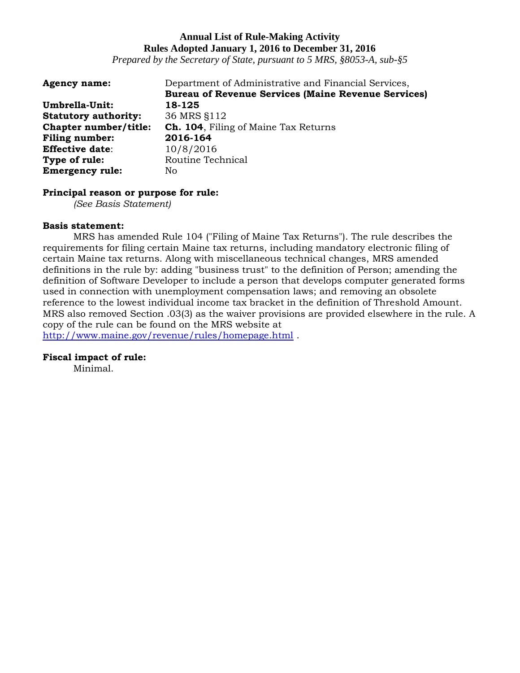*Prepared by the Secretary of State, pursuant to 5 MRS, §8053-A, sub-§5*

| <b>Agency name:</b>         | Department of Administrative and Financial Services,       |
|-----------------------------|------------------------------------------------------------|
|                             | <b>Bureau of Revenue Services (Maine Revenue Services)</b> |
| Umbrella-Unit:              | 18-125                                                     |
| <b>Statutory authority:</b> | 36 MRS §112                                                |
| Chapter number/title:       | <b>Ch. 104.</b> Filing of Maine Tax Returns                |
| <b>Filing number:</b>       | 2016-164                                                   |
| <b>Effective date:</b>      | 10/8/2016                                                  |
| Type of rule:               | Routine Technical                                          |
| <b>Emergency rule:</b>      | No                                                         |

#### **Principal reason or purpose for rule:**

*(See Basis Statement)*

#### **Basis statement:**

MRS has amended Rule 104 ("Filing of Maine Tax Returns"). The rule describes the requirements for filing certain Maine tax returns, including mandatory electronic filing of certain Maine tax returns. Along with miscellaneous technical changes, MRS amended definitions in the rule by: adding "business trust" to the definition of Person; amending the definition of Software Developer to include a person that develops computer generated forms used in connection with unemployment compensation laws; and removing an obsolete reference to the lowest individual income tax bracket in the definition of Threshold Amount. MRS also removed Section .03(3) as the waiver provisions are provided elsewhere in the rule. A copy of the rule can be found on the MRS website at <http://www.maine.gov/revenue/rules/homepage.html> .

**Fiscal impact of rule:**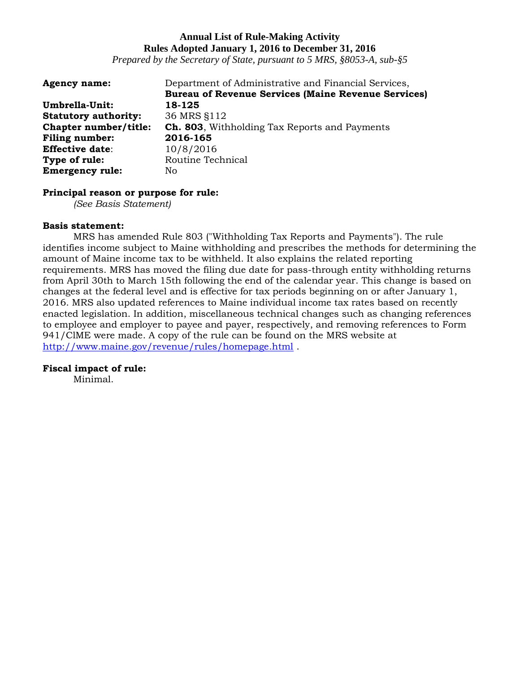*Prepared by the Secretary of State, pursuant to 5 MRS, §8053-A, sub-§5*

| <b>Agency name:</b>         | Department of Administrative and Financial Services,       |
|-----------------------------|------------------------------------------------------------|
|                             | <b>Bureau of Revenue Services (Maine Revenue Services)</b> |
| Umbrella-Unit:              | 18-125                                                     |
| <b>Statutory authority:</b> | 36 MRS §112                                                |
| Chapter number/title:       | <b>Ch. 803</b> , Withholding Tax Reports and Payments      |
| <b>Filing number:</b>       | 2016-165                                                   |
| <b>Effective date:</b>      | 10/8/2016                                                  |
| Type of rule:               | Routine Technical                                          |
| <b>Emergency rule:</b>      | No                                                         |

#### **Principal reason or purpose for rule:**

*(See Basis Statement)*

#### **Basis statement:**

MRS has amended Rule 803 ("Withholding Tax Reports and Payments"). The rule identifies income subject to Maine withholding and prescribes the methods for determining the amount of Maine income tax to be withheld. It also explains the related reporting requirements. MRS has moved the filing due date for pass-through entity withholding returns from April 30th to March 15th following the end of the calendar year. This change is based on changes at the federal level and is effective for tax periods beginning on or after January 1, 2016. MRS also updated references to Maine individual income tax rates based on recently enacted legislation. In addition, miscellaneous technical changes such as changing references to employee and employer to payee and payer, respectively, and removing references to Form 941/ClME were made. A copy of the rule can be found on the MRS website at <http://www.maine.gov/revenue/rules/homepage.html> .

#### **Fiscal impact of rule:**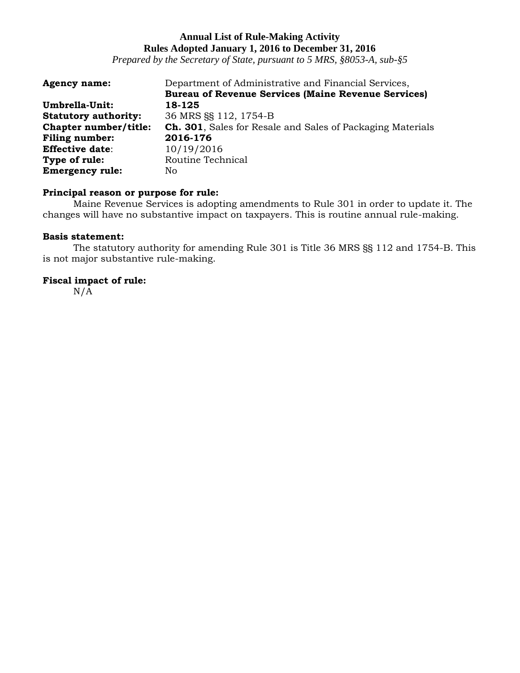*Prepared by the Secretary of State, pursuant to 5 MRS, §8053-A, sub-§5*

| <b>Agency name:</b>         | Department of Administrative and Financial Services,               |
|-----------------------------|--------------------------------------------------------------------|
|                             | <b>Bureau of Revenue Services (Maine Revenue Services)</b>         |
| Umbrella-Unit:              | 18-125                                                             |
| <b>Statutory authority:</b> | 36 MRS SS 112, 1754-B                                              |
| Chapter number/title:       | <b>Ch. 301</b> , Sales for Resale and Sales of Packaging Materials |
| Filing number:              | 2016-176                                                           |
| <b>Effective date:</b>      | 10/19/2016                                                         |
| Type of rule:               | Routine Technical                                                  |
| <b>Emergency rule:</b>      | No                                                                 |

### **Principal reason or purpose for rule:**

Maine Revenue Services is adopting amendments to Rule 301 in order to update it. The changes will have no substantive impact on taxpayers. This is routine annual rule-making.

### **Basis statement:**

The statutory authority for amending Rule 301 is Title 36 MRS §§ 112 and 1754-B. This is not major substantive rule-making.

# **Fiscal impact of rule:**

 $N/\overline{A}$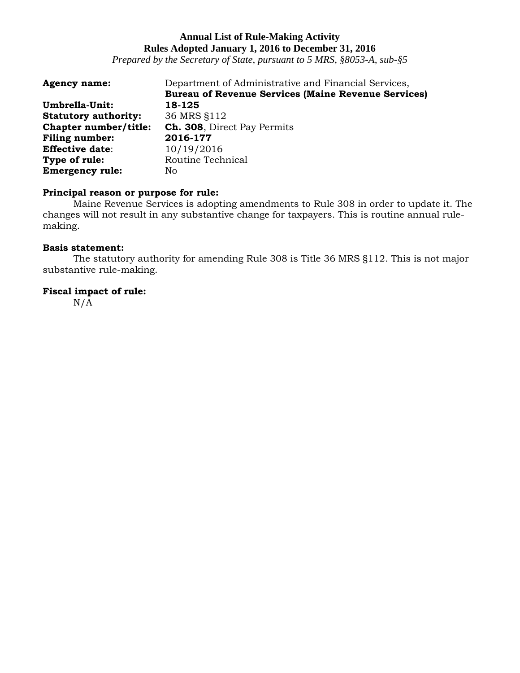*Prepared by the Secretary of State, pursuant to 5 MRS, §8053-A, sub-§5*

| <b>Agency name:</b>         | Department of Administrative and Financial Services,<br><b>Bureau of Revenue Services (Maine Revenue Services)</b> |
|-----------------------------|--------------------------------------------------------------------------------------------------------------------|
| Umbrella-Unit:              | 18-125                                                                                                             |
| <b>Statutory authority:</b> | 36 MRS §112                                                                                                        |
| Chapter number/title:       | Ch. 308, Direct Pay Permits                                                                                        |
| <b>Filing number:</b>       | 2016-177                                                                                                           |
| <b>Effective date:</b>      | 10/19/2016                                                                                                         |
| Type of rule:               | Routine Technical                                                                                                  |
| <b>Emergency rule:</b>      | No                                                                                                                 |

### **Principal reason or purpose for rule:**

Maine Revenue Services is adopting amendments to Rule 308 in order to update it. The changes will not result in any substantive change for taxpayers. This is routine annual rulemaking.

### **Basis statement:**

The statutory authority for amending Rule 308 is Title 36 MRS §112. This is not major substantive rule-making.

### **Fiscal impact of rule:**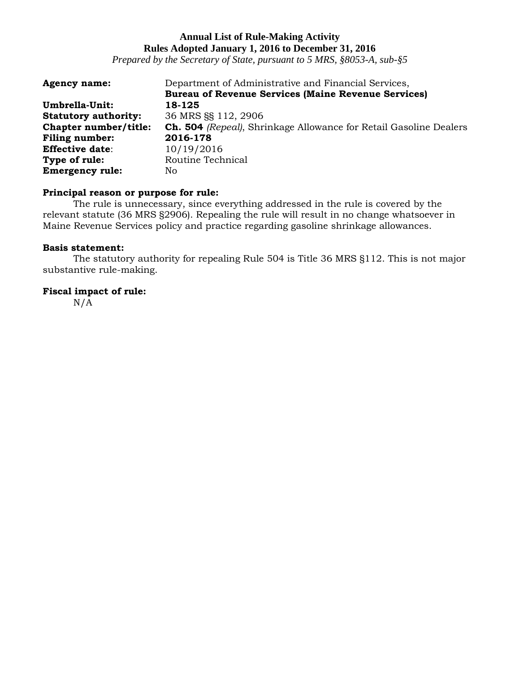*Prepared by the Secretary of State, pursuant to 5 MRS, §8053-A, sub-§5*

| <b>Agency name:</b>         | Department of Administrative and Financial Services,                     |
|-----------------------------|--------------------------------------------------------------------------|
|                             | <b>Bureau of Revenue Services (Maine Revenue Services)</b>               |
| Umbrella-Unit:              | 18-125                                                                   |
| <b>Statutory authority:</b> | 36 MRS §§ 112, 2906                                                      |
| Chapter number/title:       | <b>Ch. 504</b> (Repeal), Shrinkage Allowance for Retail Gasoline Dealers |
| <b>Filing number:</b>       | 2016-178                                                                 |
| <b>Effective date:</b>      | 10/19/2016                                                               |
| Type of rule:               | Routine Technical                                                        |
| <b>Emergency rule:</b>      | No                                                                       |

# **Principal reason or purpose for rule:**

The rule is unnecessary, since everything addressed in the rule is covered by the relevant statute (36 MRS §2906). Repealing the rule will result in no change whatsoever in Maine Revenue Services policy and practice regarding gasoline shrinkage allowances.

### **Basis statement:**

The statutory authority for repealing Rule 504 is Title 36 MRS §112. This is not major substantive rule-making.

### **Fiscal impact of rule:**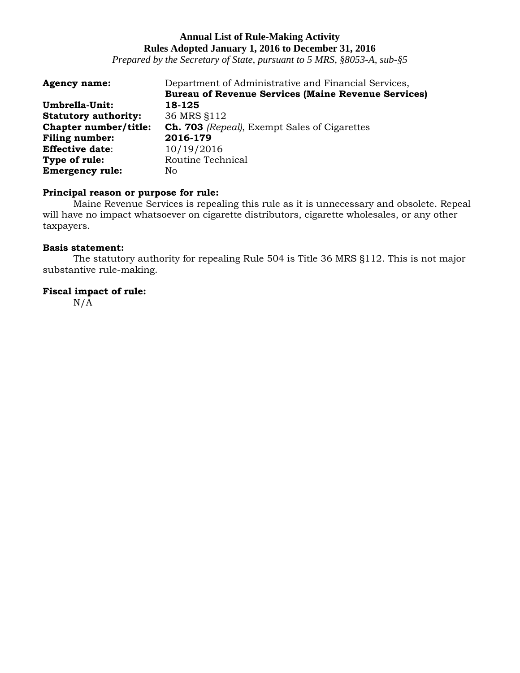*Prepared by the Secretary of State, pursuant to 5 MRS, §8053-A, sub-§5*

| <b>Agency name:</b>         | Department of Administrative and Financial Services,       |
|-----------------------------|------------------------------------------------------------|
|                             | <b>Bureau of Revenue Services (Maine Revenue Services)</b> |
| Umbrella-Unit:              | 18-125                                                     |
| <b>Statutory authority:</b> | 36 MRS §112                                                |
| Chapter number/title:       | <b>Ch. 703</b> (Repeal), Exempt Sales of Cigarettes        |
| <b>Filing number:</b>       | 2016-179                                                   |
| <b>Effective date:</b>      | 10/19/2016                                                 |
| Type of rule:               | Routine Technical                                          |
| <b>Emergency rule:</b>      | No.                                                        |

### **Principal reason or purpose for rule:**

Maine Revenue Services is repealing this rule as it is unnecessary and obsolete. Repeal will have no impact whatsoever on cigarette distributors, cigarette wholesales, or any other taxpayers.

### **Basis statement:**

The statutory authority for repealing Rule 504 is Title 36 MRS §112. This is not major substantive rule-making.

### **Fiscal impact of rule:**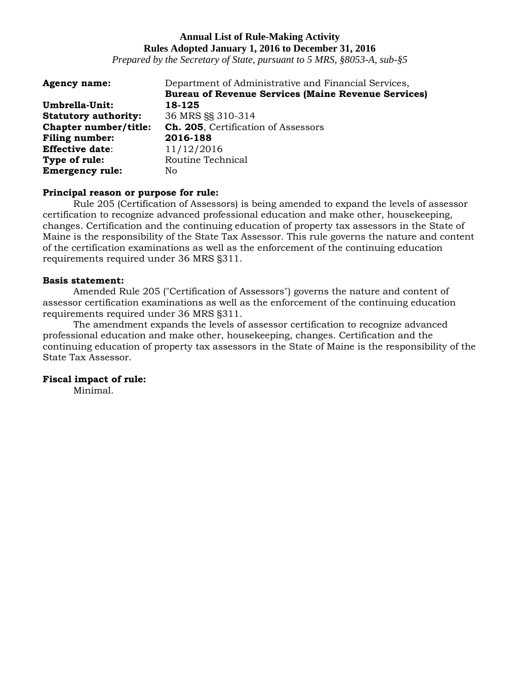*Prepared by the Secretary of State, pursuant to 5 MRS, §8053-A, sub-§5*

| <b>Agency name:</b>         | Department of Administrative and Financial Services,       |
|-----------------------------|------------------------------------------------------------|
|                             | <b>Bureau of Revenue Services (Maine Revenue Services)</b> |
| Umbrella-Unit:              | 18-125                                                     |
| <b>Statutory authority:</b> | 36 MRS SS 310-314                                          |
| Chapter number/title:       | Ch. 205, Certification of Assessors                        |
| <b>Filing number:</b>       | 2016-188                                                   |
| <b>Effective date:</b>      | 11/12/2016                                                 |
| Type of rule:               | Routine Technical                                          |
| <b>Emergency rule:</b>      | No                                                         |

#### **Principal reason or purpose for rule:**

Rule 205 (Certification of Assessors) is being amended to expand the levels of assessor certification to recognize advanced professional education and make other, housekeeping, changes. Certification and the continuing education of property tax assessors in the State of Maine is the responsibility of the State Tax Assessor. This rule governs the nature and content of the certification examinations as well as the enforcement of the continuing education requirements required under 36 MRS §311.

#### **Basis statement:**

Amended Rule 205 ("Certification of Assessors") governs the nature and content of assessor certification examinations as well as the enforcement of the continuing education requirements required under 36 MRS §311.

The amendment expands the levels of assessor certification to recognize advanced professional education and make other, housekeeping, changes. Certification and the continuing education of property tax assessors in the State of Maine is the responsibility of the State Tax Assessor.

#### **Fiscal impact of rule:**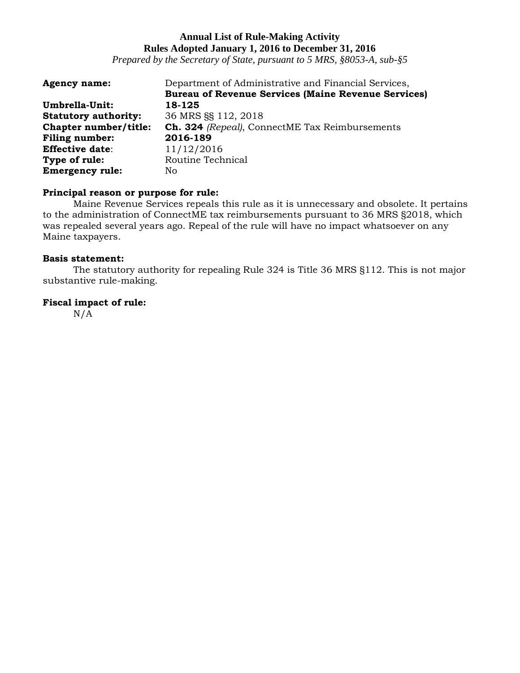*Prepared by the Secretary of State, pursuant to 5 MRS, §8053-A, sub-§5*

| <b>Agency name:</b>         | Department of Administrative and Financial Services,       |
|-----------------------------|------------------------------------------------------------|
|                             | <b>Bureau of Revenue Services (Maine Revenue Services)</b> |
| Umbrella-Unit:              | 18-125                                                     |
| <b>Statutory authority:</b> | 36 MRS §§ 112, 2018                                        |
| Chapter number/title:       | Ch. 324 (Repeal), ConnectME Tax Reimbursements             |
| <b>Filing number:</b>       | 2016-189                                                   |
| <b>Effective date:</b>      | 11/12/2016                                                 |
| Type of rule:               | Routine Technical                                          |
| <b>Emergency rule:</b>      | No.                                                        |

# **Principal reason or purpose for rule:**

Maine Revenue Services repeals this rule as it is unnecessary and obsolete. It pertains to the administration of ConnectME tax reimbursements pursuant to 36 MRS §2018, which was repealed several years ago. Repeal of the rule will have no impact whatsoever on any Maine taxpayers.

#### **Basis statement:**

The statutory authority for repealing Rule 324 is Title 36 MRS §112. This is not major substantive rule-making.

# **Fiscal impact of rule:**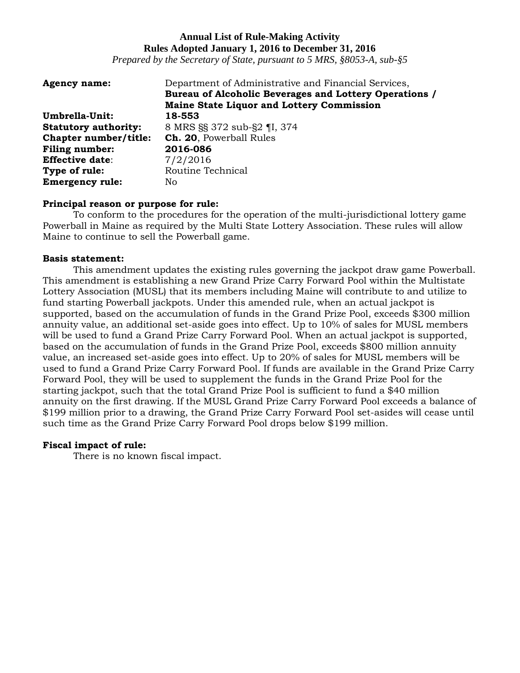*Prepared by the Secretary of State, pursuant to 5 MRS, §8053-A, sub-§5*

| <b>Agency name:</b>         | Department of Administrative and Financial Services,<br>Bureau of Alcoholic Beverages and Lottery Operations /<br><b>Maine State Liquor and Lottery Commission</b> |
|-----------------------------|--------------------------------------------------------------------------------------------------------------------------------------------------------------------|
| Umbrella-Unit:              | 18-553                                                                                                                                                             |
| <b>Statutory authority:</b> | 8 MRS §§ 372 sub-§2 ¶I, 374                                                                                                                                        |
| Chapter number/title:       | Ch. 20, Powerball Rules                                                                                                                                            |
| <b>Filing number:</b>       | 2016-086                                                                                                                                                           |
| <b>Effective date:</b>      | 7/2/2016                                                                                                                                                           |
| Type of rule:               | Routine Technical                                                                                                                                                  |
| <b>Emergency rule:</b>      | No.                                                                                                                                                                |

#### **Principal reason or purpose for rule:**

To conform to the procedures for the operation of the multi-jurisdictional lottery game Powerball in Maine as required by the Multi State Lottery Association. These rules will allow Maine to continue to sell the Powerball game.

### **Basis statement:**

This amendment updates the existing rules governing the jackpot draw game Powerball. This amendment is establishing a new Grand Prize Carry Forward Pool within the Multistate Lottery Association (MUSL) that its members including Maine will contribute to and utilize to fund starting Powerball jackpots. Under this amended rule, when an actual jackpot is supported, based on the accumulation of funds in the Grand Prize Pool, exceeds \$300 million annuity value, an additional set-aside goes into effect. Up to 10% of sales for MUSL members will be used to fund a Grand Prize Carry Forward Pool. When an actual jackpot is supported, based on the accumulation of funds in the Grand Prize Pool, exceeds \$800 million annuity value, an increased set-aside goes into effect. Up to 20% of sales for MUSL members will be used to fund a Grand Prize Carry Forward Pool. If funds are available in the Grand Prize Carry Forward Pool, they will be used to supplement the funds in the Grand Prize Pool for the starting jackpot, such that the total Grand Prize Pool is sufficient to fund a \$40 million annuity on the first drawing. If the MUSL Grand Prize Carry Forward Pool exceeds a balance of \$199 million prior to a drawing, the Grand Prize Carry Forward Pool set-asides will cease until such time as the Grand Prize Carry Forward Pool drops below \$199 million.

### **Fiscal impact of rule:**

There is no known fiscal impact.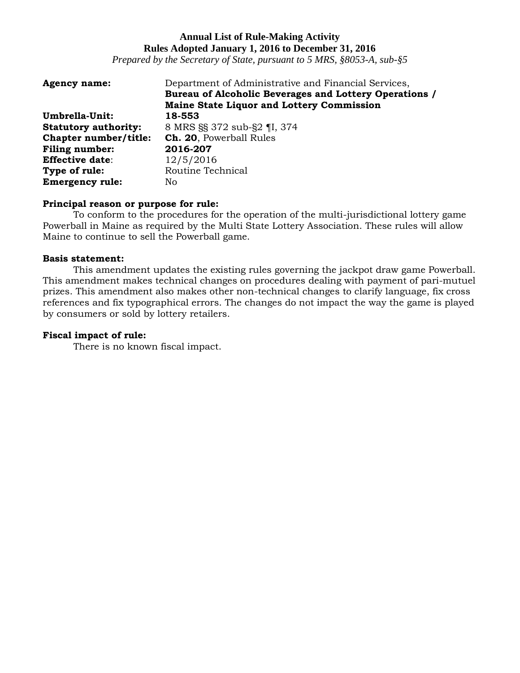*Prepared by the Secretary of State, pursuant to 5 MRS, §8053-A, sub-§5*

| <b>Agency name:</b>         | Department of Administrative and Financial Services,<br>Bureau of Alcoholic Beverages and Lottery Operations /<br><b>Maine State Liquor and Lottery Commission</b> |
|-----------------------------|--------------------------------------------------------------------------------------------------------------------------------------------------------------------|
| Umbrella-Unit:              | 18-553                                                                                                                                                             |
| <b>Statutory authority:</b> | 8 MRS §§ 372 sub-§2 ¶I, 374                                                                                                                                        |
| Chapter number/title:       | Ch. 20, Powerball Rules                                                                                                                                            |
| <b>Filing number:</b>       | 2016-207                                                                                                                                                           |
| <b>Effective date:</b>      | 12/5/2016                                                                                                                                                          |
| Type of rule:               | Routine Technical                                                                                                                                                  |
| <b>Emergency rule:</b>      | No.                                                                                                                                                                |

### **Principal reason or purpose for rule:**

To conform to the procedures for the operation of the multi-jurisdictional lottery game Powerball in Maine as required by the Multi State Lottery Association. These rules will allow Maine to continue to sell the Powerball game.

### **Basis statement:**

This amendment updates the existing rules governing the jackpot draw game Powerball. This amendment makes technical changes on procedures dealing with payment of pari-mutuel prizes. This amendment also makes other non-technical changes to clarify language, fix cross references and fix typographical errors. The changes do not impact the way the game is played by consumers or sold by lottery retailers.

### **Fiscal impact of rule:**

There is no known fiscal impact.